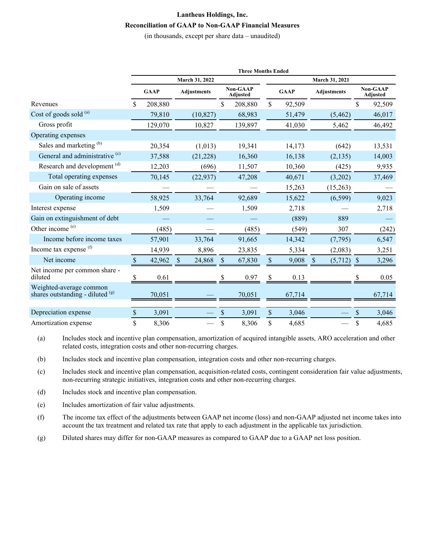## **Lantheus Holdings, Inc. Reconciliation of GAAP to Non-GAAP Financial Measures**

(in thousands, except per share data – unaudited)

|                                                             | <b>Three Months Ended</b> |             |              |                    |    |                             |              |             |                         |    |                             |  |
|-------------------------------------------------------------|---------------------------|-------------|--------------|--------------------|----|-----------------------------|--------------|-------------|-------------------------|----|-----------------------------|--|
|                                                             | March 31, 2022            |             |              |                    |    | March 31, 2021              |              |             |                         |    |                             |  |
|                                                             |                           | <b>GAAP</b> |              | <b>Adjustments</b> |    | <b>Non-GAAP</b><br>Adjusted |              | <b>GAAP</b> | <b>Adjustments</b>      |    | <b>Non-GAAP</b><br>Adjusted |  |
| Revenues                                                    | \$                        | 208,880     |              |                    | \$ | 208,880                     | \$           | 92,509      |                         | \$ | 92,509                      |  |
| Cost of goods sold (a)                                      |                           | 79,810      |              | (10, 827)          |    | 68,983                      |              | 51,479      | (5, 462)                |    | 46,017                      |  |
| Gross profit                                                |                           | 129,070     |              | 10,827             |    | 139,897                     |              | 41,030      | 5,462                   |    | 46,492                      |  |
| Operating expenses                                          |                           |             |              |                    |    |                             |              |             |                         |    |                             |  |
| Sales and marketing (b)                                     |                           | 20,354      |              | (1,013)            |    | 19,341                      |              | 14,173      | (642)                   |    | 13,531                      |  |
| General and administrative <sup>(c)</sup>                   |                           | 37,588      |              | (21, 228)          |    | 16,360                      |              | 16,138      | (2, 135)                |    | 14,003                      |  |
| Research and development <sup>(d)</sup>                     |                           | 12,203      |              | (696)              |    | 11,507                      |              | 10,360      | (425)                   |    | 9,935                       |  |
| Total operating expenses                                    |                           | 70,145      |              | (22, 937)          |    | 47,208                      |              | 40,671      | (3,202)                 |    | 37,469                      |  |
| Gain on sale of assets                                      |                           |             |              |                    |    |                             |              | 15,263      | (15,263)                |    |                             |  |
| Operating income                                            |                           | 58,925      |              | 33,764             |    | 92,689                      |              | 15,622      | (6, 599)                |    | 9,023                       |  |
| Interest expense                                            |                           | 1,509       |              |                    |    | 1,509                       |              | 2,718       |                         |    | 2,718                       |  |
| Gain on extinguishment of debt                              |                           |             |              |                    |    |                             |              | (889)       | 889                     |    |                             |  |
| Other income (e)                                            |                           | (485)       |              |                    |    | (485)                       |              | (549)       | 307                     |    | (242)                       |  |
| Income before income taxes                                  |                           | 57,901      |              | 33,764             |    | 91,665                      |              | 14,342      | (7, 795)                |    | 6,547                       |  |
| Income tax expense <sup>(f)</sup>                           |                           | 14,939      |              | 8,896              |    | 23,835                      |              | 5,334       | (2,083)                 |    | 3,251                       |  |
| Net income                                                  |                           | 42,962      | <sup>S</sup> | 24,868             | S  | 67,830                      | \$           | 9,008       | (5,712)<br><sup>S</sup> |    | 3,296                       |  |
| Net income per common share -<br>diluted                    | S                         | 0.61        |              |                    |    | 0.97                        | \$           | 0.13        |                         |    | 0.05                        |  |
| Weighted-average common<br>shares outstanding - diluted (g) |                           | 70,051      |              |                    |    | 70,051                      |              | 67,714      |                         |    | 67,714                      |  |
|                                                             |                           |             |              |                    |    |                             |              |             |                         |    |                             |  |
| Depreciation expense                                        | \$                        | 3,091       |              |                    | \$ | 3,091                       | $\mathbb{S}$ | 3,046       |                         | \$ | 3,046                       |  |
| Amortization expense                                        | \$                        | 8,306       |              |                    | \$ | 8,306                       | \$           | 4,685       |                         | \$ | 4,685                       |  |

(a) Includes stock and incentive plan compensation, amortization of acquired intangible assets, ARO acceleration and other related costs, integration costs and other non-recurring charges.

(b) Includes stock and incentive plan compensation, integration costs and other non-recurring charges.

(c) Includes stock and incentive plan compensation, acquisition-related costs, contingent consideration fair value adjustments, non-recurring strategic initiatives, integration costs and other non-recurring charges.

(d) Includes stock and incentive plan compensation.

(e) Includes amortization of fair value adjustments.

(f) The income tax effect of the adjustments between GAAP net income (loss) and non-GAAP adjusted net income takes into account the tax treatment and related tax rate that apply to each adjustment in the applicable tax jurisdiction.

(g) Diluted shares may differ for non-GAAP measures as compared to GAAP due to a GAAP net loss position.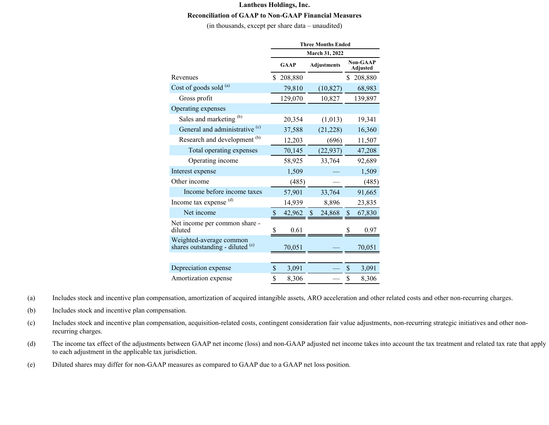## **Lantheus Holdings, Inc. Reconciliation of GAAP to Non-GAAP Financial Measures**

(in thousands, except per share data – unaudited)

|                                                             | <b>Three Months Ended</b> |             |    |                    |    |                                    |  |
|-------------------------------------------------------------|---------------------------|-------------|----|--------------------|----|------------------------------------|--|
|                                                             | <b>March 31, 2022</b>     |             |    |                    |    |                                    |  |
|                                                             |                           | <b>GAAP</b> |    | <b>Adjustments</b> |    | <b>Non-GAAP</b><br><b>Adjusted</b> |  |
| Revenues                                                    | S.                        | 208,880     |    |                    | \$ | 208,880                            |  |
| Cost of goods sold (a)                                      |                           | 79,810      |    | (10, 827)          |    | 68,983                             |  |
| Gross profit                                                |                           | 129,070     |    | 10,827             |    | 139,897                            |  |
| Operating expenses                                          |                           |             |    |                    |    |                                    |  |
| Sales and marketing (b)                                     |                           | 20,354      |    | (1,013)            |    | 19,341                             |  |
| General and administrative <sup>(c)</sup>                   |                           | 37,588      |    | (21, 228)          |    | 16,360                             |  |
| Research and development <sup>(b)</sup>                     |                           | 12,203      |    | (696)              |    | 11,507                             |  |
| Total operating expenses                                    |                           | 70,145      |    | (22, 937)          |    | 47,208                             |  |
| Operating income                                            |                           | 58,925      |    | 33,764             |    | 92,689                             |  |
| Interest expense                                            |                           | 1,509       |    |                    |    | 1,509                              |  |
| Other income                                                |                           | (485)       |    |                    |    | (485)                              |  |
| Income before income taxes                                  |                           | 57,901      |    | 33,764             |    | 91,665                             |  |
| Income tax expense (d)                                      |                           | 14,939      |    | 8,896              |    | 23,835                             |  |
| Net income                                                  | $\boldsymbol{\mathsf{S}}$ | 42,962      | \$ | 24,868             | \$ | 67,830                             |  |
| Net income per common share -<br>diluted                    | <sup>S</sup>              | 0.61        |    |                    |    | 0.97                               |  |
| Weighted-average common<br>shares outstanding - diluted (e) |                           | 70,051      |    |                    |    | 70,051                             |  |
|                                                             |                           |             |    |                    |    |                                    |  |
| Depreciation expense                                        | \$                        | 3,091       |    |                    | \$ | 3,091                              |  |
| Amortization expense                                        | \$                        | 8,306       |    |                    | \$ | 8,306                              |  |

(a) Includes stock and incentive plan compensation, amortization of acquired intangible assets, ARO acceleration and other related costs and other non-recurring charges.

(b) Includes stock and incentive plan compensation.

- (c) Includes stock and incentive plan compensation, acquisition-related costs, contingent consideration fair value adjustments, non-recurring strategic initiatives and other nonrecurring charges.
- (d) The income tax effect of the adjustments between GAAP net income (loss) and non-GAAP adjusted net income takes into account the tax treatment and related tax rate that apply to each adjustment in the applicable tax jurisdiction.
- (e) Diluted shares may differ for non-GAAP measures as compared to GAAP due to a GAAP net loss position.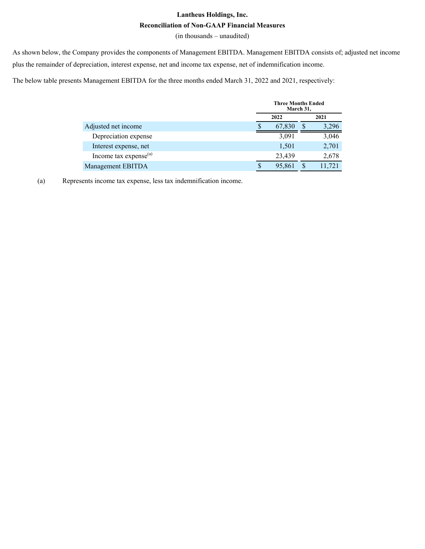## **Lantheus Holdings, Inc. Reconciliation of Non-GAAP Financial Measures**

(in thousands – unaudited)

As shown below, the Company provides the components of Management EBITDA. Management EBITDA consists of; adjusted net income plus the remainder of depreciation, interest expense, net and income tax expense, net of indemnification income.

The below table presents Management EBITDA for the three months ended March 31, 2022 and 2021, respectively:

|                             | <b>Three Months Ended</b><br>March 31, |   |            |  |
|-----------------------------|----------------------------------------|---|------------|--|
|                             | 2022                                   |   |            |  |
| Adjusted net income         | 67,830                                 | S | 3.296      |  |
| Depreciation expense        | 3,091                                  |   | 3,046      |  |
| Interest expense, net       | 1,501                                  |   | 2,701      |  |
| Income tax expense $^{(a)}$ | 23,439                                 |   | 2,678      |  |
| Management EBITDA           | 95,861                                 |   | .721<br>11 |  |

(a) Represents income tax expense, less tax indemnification income.